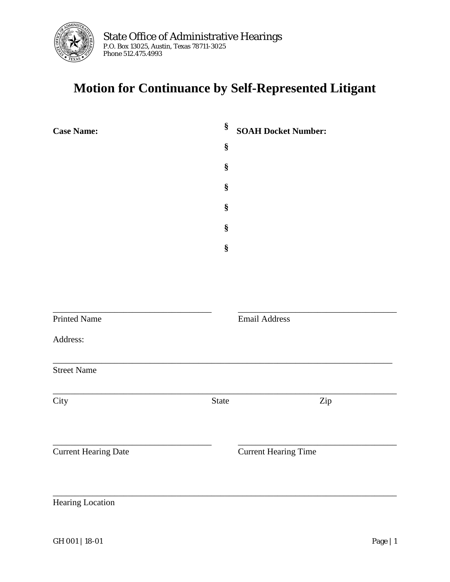

## **Motion for Continuance by Self-Represented Litigant**

| <b>Case Name:</b>           | §<br><b>SOAH Docket Number:</b> |                             |  |
|-----------------------------|---------------------------------|-----------------------------|--|
|                             | $\S$                            |                             |  |
|                             | §                               |                             |  |
|                             | §                               |                             |  |
|                             | §                               |                             |  |
|                             | §                               |                             |  |
|                             | §                               |                             |  |
|                             |                                 |                             |  |
|                             |                                 |                             |  |
|                             |                                 |                             |  |
| <b>Printed Name</b>         |                                 | <b>Email Address</b>        |  |
| Address:                    |                                 |                             |  |
| <b>Street Name</b>          |                                 |                             |  |
| City                        | State                           | Zip                         |  |
|                             |                                 |                             |  |
| <b>Current Hearing Date</b> |                                 | <b>Current Hearing Time</b> |  |
|                             |                                 |                             |  |
| <b>Hearing Location</b>     |                                 |                             |  |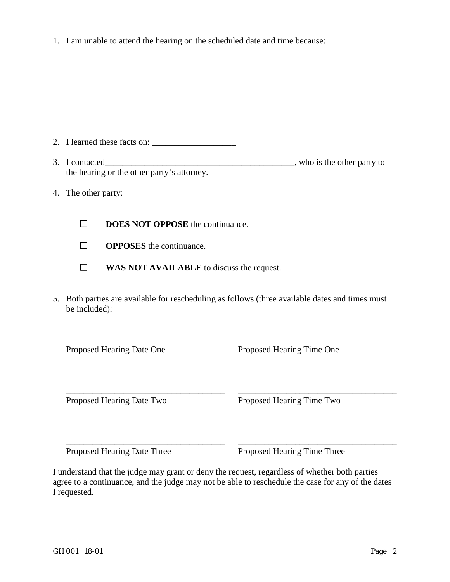1. I am unable to attend the hearing on the scheduled date and time because:

| 2. I learned these facts on: |  |
|------------------------------|--|
|                              |  |

- 3. I contacted\_\_\_\_\_\_\_\_\_\_\_\_\_\_\_\_\_\_\_\_\_\_\_\_\_\_\_\_\_\_\_\_\_\_\_\_\_\_\_\_\_\_\_, who is the other party to the hearing or the other party's attorney.
- 4. The other party:
	- ☐ **DOES NOT OPPOSE** the continuance.
	- ☐ **OPPOSES** the continuance.
	- ☐ **WAS NOT AVAILABLE** to discuss the request.
- 5. Both parties are available for rescheduling as follows (three available dates and times must be included):

\_\_\_\_\_\_\_\_\_\_\_\_\_\_\_\_\_\_\_\_\_\_\_\_\_\_\_\_\_\_\_\_\_\_\_\_ \_\_\_\_\_\_\_\_\_\_\_\_\_\_\_\_\_\_\_\_\_\_\_\_\_\_\_\_\_\_\_\_\_\_\_\_

Proposed Hearing Date One Proposed Hearing Time One

\_\_\_\_\_\_\_\_\_\_\_\_\_\_\_\_\_\_\_\_\_\_\_\_\_\_\_\_\_\_\_\_\_\_\_\_ \_\_\_\_\_\_\_\_\_\_\_\_\_\_\_\_\_\_\_\_\_\_\_\_\_\_\_\_\_\_\_\_\_\_\_\_ Proposed Hearing Date Two Proposed Hearing Time Two

\_\_\_\_\_\_\_\_\_\_\_\_\_\_\_\_\_\_\_\_\_\_\_\_\_\_\_\_\_\_\_\_\_\_\_\_ \_\_\_\_\_\_\_\_\_\_\_\_\_\_\_\_\_\_\_\_\_\_\_\_\_\_\_\_\_\_\_\_\_\_\_\_ Proposed Hearing Date Three Proposed Hearing Time Three

I understand that the judge may grant or deny the request, regardless of whether both parties agree to a continuance, and the judge may not be able to reschedule the case for any of the dates I requested.